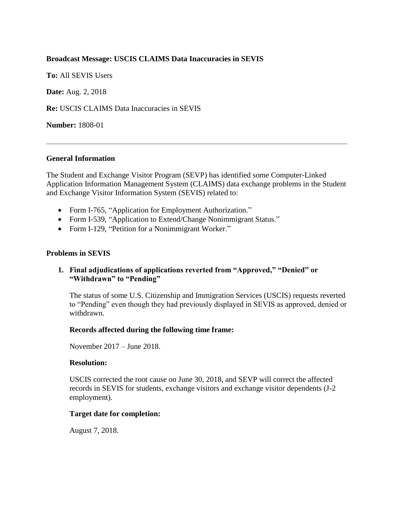## **Broadcast Message: USCIS CLAIMS Data Inaccuracies in SEVIS**

**To:** All SEVIS Users

**Date:** Aug. 2, 2018

**Re:** USCIS CLAIMS Data Inaccuracies in SEVIS

**Number:** 1808-01

## **General Information**

The Student and Exchange Visitor Program (SEVP) has identified some Computer-Linked Application Information Management System (CLAIMS) data exchange problems in the Student and Exchange Visitor Information System (SEVIS) related to:

- Form I-765, "Application for Employment Authorization."
- Form I-539, "Application to Extend/Change Nonimmigrant Status."
- Form I-129, "Petition for a Nonimmigrant Worker."

## **Problems in SEVIS**

# **1. Final adjudications of applications reverted from "Approved," "Denied" or "Withdrawn" to "Pending"**

The status of some U.S. Citizenship and Immigration Services (USCIS) requests reverted to "Pending" even though they had previously displayed in SEVIS as approved, denied or withdrawn.

#### **Records affected during the following time frame:**

November 2017 – June 2018.

#### **Resolution:**

USCIS corrected the root cause on June 30, 2018, and SEVP will correct the affected records in SEVIS for students, exchange visitors and exchange visitor dependents (J-2 employment).

#### **Target date for completion:**

August 7, 2018.